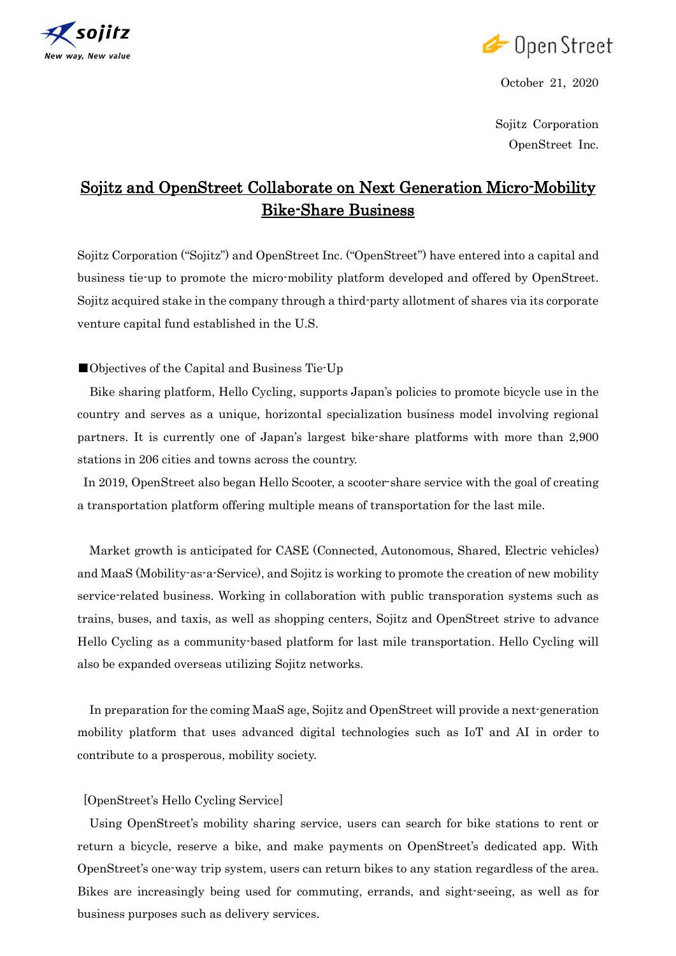



October 21, 2020

Sojitz Corporation OpenStreet Inc.

## Sojitz and OpenStreet Collaborate on Next Generation Micro-Mobility Bike-Share Business

Sojitz Corporation ("Sojitz") and OpenStreet Inc. ("OpenStreet") have entered into a capital and business tie-up to promote the micro-mobility platform developed and offered by OpenStreet. Sojitz acquired stake in the company through a third-party allotment of shares via its corporate venture capital fund established in the U.S.

■Objectives of the Capital and Business Tie-Up

Bike sharing platform, Hello Cycling, supports Japan's policies to promote bicycle use in the country and serves as a unique, horizontal specialization business model involving regional partners. It is currently one of Japan's largest bike-share platforms with more than 2,900 stations in 206 cities and towns across the country.

In 2019, OpenStreet also began Hello Scooter, a scooter-share service with the goal of creating a transportation platform offering multiple means of transportation for the last mile.

Market growth is anticipated for CASE (Connected, Autonomous, Shared, Electric vehicles) and MaaS (Mobility-as-a-Service), and Sojitz is working to promote the creation of new mobility service-related business. Working in collaboration with public transporation systems such as trains, buses, and taxis, as well as shopping centers, Sojitz and OpenStreet strive to advance Hello Cycling as a community-based platform for last mile transportation. Hello Cycling will also be expanded overseas utilizing Sojitz networks.

In preparation for the coming MaaS age, Sojitz and OpenStreet will provide a next-generation mobility platform that uses advanced digital technologies such as IoT and AI in order to contribute to a prosperous, mobility society.

## [OpenStreet's Hello Cycling Service]

Using OpenStreet's mobility sharing service, users can search for bike stations to rent or return a bicycle, reserve a bike, and make payments on OpenStreet's dedicated app. With OpenStreet's one-way trip system, users can return bikes to any station regardless of the area. Bikes are increasingly being used for commuting, errands, and sight-seeing, as well as for business purposes such as delivery services.